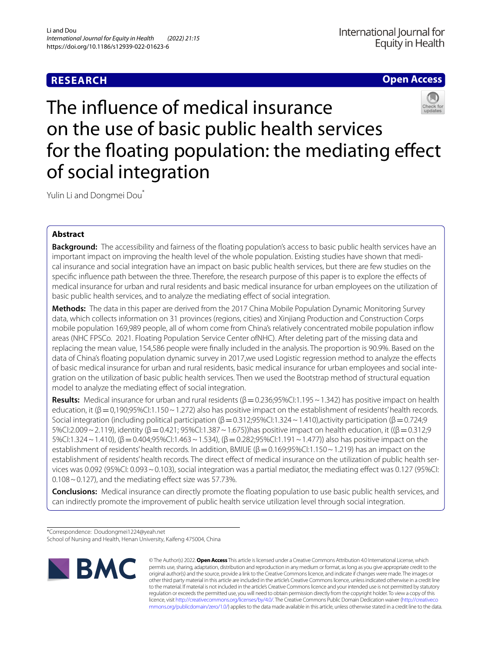# **RESEARCH**

# **Open Access**



The infuence of medical insurance on the use of basic public health services for the floating population: the mediating effect of social integration

Yulin Li and Dongmei Dou\*

# **Abstract**

**Background:** The accessibility and fairness of the floating population's access to basic public health services have an important impact on improving the health level of the whole population. Existing studies have shown that medical insurance and social integration have an impact on basic public health services, but there are few studies on the specifc infuence path between the three. Therefore, the research purpose of this paper is to explore the efects of medical insurance for urban and rural residents and basic medical insurance for urban employees on the utilization of basic public health services, and to analyze the mediating effect of social integration.

**Methods:** The data in this paper are derived from the 2017 China Mobile Population Dynamic Monitoring Survey data, which collects information on 31 provinces (regions, cities) and Xinjiang Production and Construction Corps mobile population 169,989 people, all of whom come from China's relatively concentrated mobile population infow areas (NHC FPSCo. 2021. Floating Population Service Center ofNHC). After deleting part of the missing data and replacing the mean value, 154,586 people were fnally included in the analysis. The proportion is 90.9%. Based on the data of China's floating population dynamic survey in 2017, we used Logistic regression method to analyze the effects of basic medical insurance for urban and rural residents, basic medical insurance for urban employees and social integration on the utilization of basic public health services. Then we used the Bootstrap method of structural equation model to analyze the mediating efect of social integration.

**Results:** Medical insurance for urban and rural residents ( $\beta$  = 0.236;95%CI:1.195 ~ 1.342) has positive impact on health education, it  $(\beta = 0.190; 95\%$ CI:1.150~1.272) also has positive impact on the establishment of residents' health records. Social integration (including political participation (β=0.312;95%CI:1.324~1.410),activity participation (β=0.724;9 5%CI:2.009~2.119), identity (β=0.421; 95%CI:1.387~1.675))has positive impact on health education, it ((β=0.312;9 5%CI:1.324~1.410), (β=0.404;95%CI:1.463~1.534), (β=0.282;95%CI:1.191~1.477)) also has positive impact on the establishment of residents' health records. In addition, BMIUE ( $\beta$  = 0.169;95%CI:1.150 ~ 1.219) has an impact on the establishment of residents' health records. The direct efect of medical insurance on the utilization of public health services was 0.092 (95%CI: 0.093~0.103), social integration was a partial mediator, the mediating effect was 0.127 (95%CI:  $0.108 \sim 0.127$ ), and the mediating effect size was 57.73%.

**Conclusions:** Medical insurance can directly promote the foating population to use basic public health services, and can indirectly promote the improvement of public health service utilization level through social integration.

\*Correspondence: Doudongmei1224@yeah.net

School of Nursing and Health, Henan University, Kaifeng 475004, China



© The Author(s) 2022. **Open Access** This article is licensed under a Creative Commons Attribution 4.0 International License, which permits use, sharing, adaptation, distribution and reproduction in any medium or format, as long as you give appropriate credit to the original author(s) and the source, provide a link to the Creative Commons licence, and indicate if changes were made. The images or other third party material in this article are included in the article's Creative Commons licence, unless indicated otherwise in a credit line to the material. If material is not included in the article's Creative Commons licence and your intended use is not permitted by statutory regulation or exceeds the permitted use, you will need to obtain permission directly from the copyright holder. To view a copy of this licence, visit [http://creativecommons.org/licenses/by/4.0/.](http://creativecommons.org/licenses/by/4.0/) The Creative Commons Public Domain Dedication waiver ([http://creativeco](http://creativecommons.org/publicdomain/zero/1.0/) [mmons.org/publicdomain/zero/1.0/](http://creativecommons.org/publicdomain/zero/1.0/)) applies to the data made available in this article, unless otherwise stated in a credit line to the data.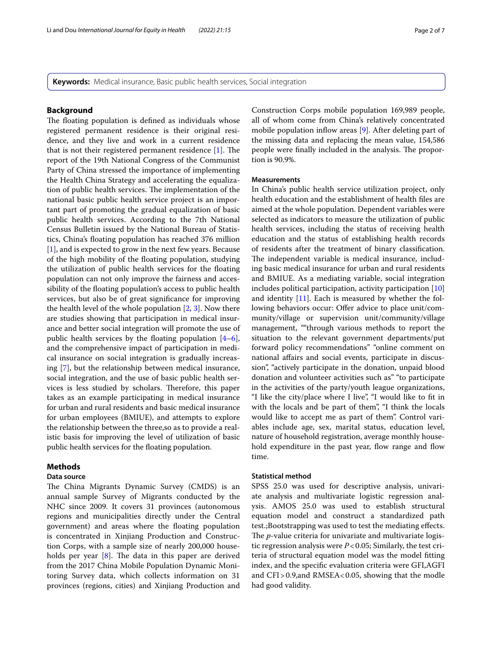**Keywords:** Medical insurance, Basic public health services, Social integration

## **Background**

The floating population is defined as individuals whose registered permanent residence is their original residence, and they live and work in a current residence that is not their registered permanent residence  $[1]$  $[1]$ . The report of the 19th National Congress of the Communist Party of China stressed the importance of implementing the Health China Strategy and accelerating the equalization of public health services. The implementation of the national basic public health service project is an important part of promoting the gradual equalization of basic public health services. According to the 7th National Census Bulletin issued by the National Bureau of Statistics, China's foating population has reached 376 million [[1\]](#page-5-0), and is expected to grow in the next few years. Because of the high mobility of the foating population, studying the utilization of public health services for the foating population can not only improve the fairness and accessibility of the foating population's access to public health services, but also be of great signifcance for improving the health level of the whole population [[2,](#page-5-1) [3](#page-5-2)]. Now there are studies showing that participation in medical insurance and better social integration will promote the use of public health services by the floating population  $[4-6]$  $[4-6]$ , and the comprehensive impact of participation in medical insurance on social integration is gradually increasing [\[7\]](#page-5-5), but the relationship between medical insurance, social integration, and the use of basic public health services is less studied by scholars. Therefore, this paper takes as an example participating in medical insurance for urban and rural residents and basic medical insurance for urban employees (BMIUE), and attempts to explore the relationship between the three,so as to provide a realistic basis for improving the level of utilization of basic public health services for the foating population.

## **Methods**

# **Data source**

The China Migrants Dynamic Survey (CMDS) is an annual sample Survey of Migrants conducted by the NHC since 2009. It covers 31 provinces (autonomous regions and municipalities directly under the Central government) and areas where the foating population is concentrated in Xinjiang Production and Construction Corps, with a sample size of nearly 200,000 households per year  $[8]$  $[8]$ . The data in this paper are derived from the 2017 China Mobile Population Dynamic Monitoring Survey data, which collects information on 31 provinces (regions, cities) and Xinjiang Production and Construction Corps mobile population 169,989 people, all of whom come from China's relatively concentrated mobile population inflow areas [\[9](#page-5-7)]. After deleting part of the missing data and replacing the mean value, 154,586 people were finally included in the analysis. The proportion is 90.9%.

## **Measurements**

In China's public health service utilization project, only health education and the establishment of health fles are aimed at the whole population. Dependent variables were selected as indicators to measure the utilization of public health services, including the status of receiving health education and the status of establishing health records of residents after the treatment of binary classifcation. The independent variable is medical insurance, including basic medical insurance for urban and rural residents and BMIUE. As a mediating variable, social integration includes political participation, activity participation [[10](#page-5-8)] and identity  $[11]$  $[11]$  $[11]$ . Each is measured by whether the following behaviors occur: Offer advice to place unit/community/village or supervision unit/community/village management, ""through various methods to report the situation to the relevant government departments/put forward policy recommendations" "online comment on national afairs and social events, participate in discussion", "actively participate in the donation, unpaid blood donation and volunteer activities such as" "to participate in the activities of the party/youth league organizations, "I like the city/place where I live", "I would like to ft in with the locals and be part of them", "I think the locals would like to accept me as part of them". Control variables include age, sex, marital status, education level, nature of household registration, average monthly household expenditure in the past year, flow range and flow time.

## **Statistical method**

SPSS 25.0 was used for descriptive analysis, univariate analysis and multivariate logistic regression analysis. AMOS 25.0 was used to establish structural equation model and construct a standardized path test.; Bootstrapping was used to test the mediating effects. The *p*-value criteria for univariate and multivariate logistic regression analysis were  $P < 0.05$ ; Similarly, the test criteria of structural equation model was the model ftting index, and the specifc evaluation criteria were GFI,AGFI and CFI>0.9,and RMSEA<0.05, showing that the modle had good validity.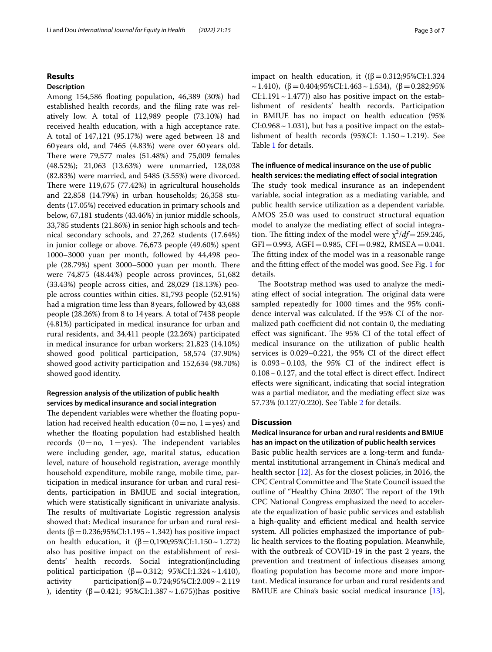## **Results**

## **Description**

Among 154,586 foating population, 46,389 (30%) had established health records, and the fling rate was relatively low. A total of 112,989 people (73.10%) had received health education, with a high acceptance rate. A total of 147,121 (95.17%) were aged between 18 and 60years old, and 7465 (4.83%) were over 60years old. There were  $79,577$  males  $(51.48%)$  and  $75,009$  females (48.52%); 21,063 (13.63%) were unmarried, 128,038 (82.83%) were married, and 5485 (3.55%) were divorced. There were  $119,675$  (77.42%) in agricultural households and 22,858 (14.79%) in urban households; 26,358 students (17.05%) received education in primary schools and below, 67,181 students (43.46%) in junior middle schools, 33,785 students (21.86%) in senior high schools and technical secondary schools, and 27,262 students (17.64%) in junior college or above. 76,673 people (49.60%) spent 1000–3000 yuan per month, followed by 44,498 people (28.79%) spent 3000–5000 yuan per month. There were 74,875 (48.44%) people across provinces, 51,682 (33.43%) people across cities, and 28,029 (18.13%) people across counties within cities. 81,793 people (52.91%) had a migration time less than 8 years, followed by 43,688 people (28.26%) from 8 to 14 years. A total of 7438 people (4.81%) participated in medical insurance for urban and rural residents, and 34,411 people (22.26%) participated in medical insurance for urban workers; 21,823 (14.10%) showed good political participation, 58,574 (37.90%) showed good activity participation and 152,634 (98.70%) showed good identity.

# **Regression analysis of the utilization of public health services by medical insurance and social integration**

The dependent variables were whether the floating population had received health education  $(0=no, 1=yes)$  and whether the foating population had established health records  $(0=no, 1=yes)$ . The independent variables were including gender, age, marital status, education level, nature of household registration, average monthly household expenditure, mobile range, mobile time, participation in medical insurance for urban and rural residents, participation in BMIUE and social integration, which were statistically signifcant in univariate analysis. The results of multivariate Logistic regression analysis showed that: Medical insurance for urban and rural residents (β = 0.236;95%CI:1.195 ~ 1.342) has positive impact on health education, it  $(β=0,190;95%CI:1.150~1.272)$ also has positive impact on the establishment of residents' health records. Social integration(including political participation (β=0.312; 95%CI:1.324 ~ 1.410),<br>activity participation(β=0.724;95%CI:2.009 ~ 2.119 participation(β=0.724;95%CI:2.009 ~ 2.119 ), identity (β = 0.421; 95%CI:1.387 ~ 1.675))has positive impact on health education, it  $((β=0.312; 95% CI: 1.324)$  $\sim$  1.410), (β = 0.404;95%CI:1.463  $\sim$  1.534), (β = 0.282;95%  $CI:1.191 \sim 1.477$ ) also has positive impact on the establishment of residents' health records. Participation in BMIUE has no impact on health education (95%  $CI: 0.968 \sim 1.031$ ), but has a positive impact on the establishment of health records (95%CI: 1.150~1.219). See Table [1](#page-3-0) for details.

# **The infuence of medical insurance on the use of public health services: the mediating efect of social integration**

The study took medical insurance as an independent variable, social integration as a mediating variable, and public health service utilization as a dependent variable. AMOS 25.0 was used to construct structural equation model to analyze the mediating efect of social integration. The fitting index of the model were  $\chi^2/df = 259.245$ ,  $GFI = 0.993, AGFI = 0.985, CFI = 0.982, RMSEA = 0.041.$ The fitting index of the model was in a reasonable range and the ftting efect of the model was good. See Fig. [1](#page-3-1) for details.

The Bootstrap method was used to analyze the mediating effect of social integration. The original data were sampled repeatedly for 1000 times and the 95% confdence interval was calculated. If the 95% CI of the normalized path coefficient did not contain 0, the mediating effect was significant. The 95% CI of the total effect of medical insurance on the utilization of public health services is 0.029–0.221, the 95% CI of the direct efect is  $0.093 \sim 0.103$ , the 95% CI of the indirect effect is  $0.108 \sim 0.127$ , and the total effect is direct effect. Indirect efects were signifcant, indicating that social integration was a partial mediator, and the mediating efect size was 57.73% (0.127/0.220). See Table [2](#page-4-0) for details.

# **Discussion**

## **Medical insurance for urban and rural residents and BMIUE has an impact on the utilization of public health services**

Basic public health services are a long-term and fundamental institutional arrangement in China's medical and health sector [\[12](#page-5-10)]. As for the closest policies, in 2016, the CPC Central Committee and The State Council issued the outline of "Healthy China 2030". The report of the 19th CPC National Congress emphasized the need to accelerate the equalization of basic public services and establish a high-quality and efficient medical and health service system. All policies emphasized the importance of public health services to the foating population. Meanwhile, with the outbreak of COVID-19 in the past 2 years, the prevention and treatment of infectious diseases among floating population has become more and more important. Medical insurance for urban and rural residents and BMIUE are China's basic social medical insurance [\[13](#page-5-11)],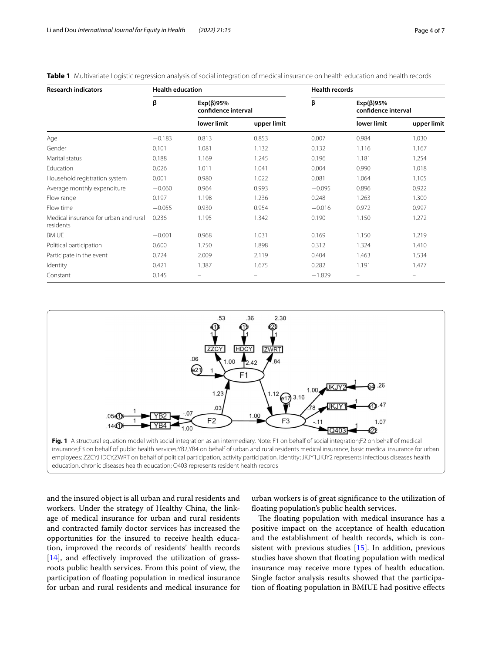| <b>Research indicators</b>                         | <b>Health education</b> |                                         |             | <b>Health records</b> |                                        |             |
|----------------------------------------------------|-------------------------|-----------------------------------------|-------------|-----------------------|----------------------------------------|-------------|
|                                                    | β                       | $Exp(\beta)95\%$<br>confidence interval |             | β                     | $Exp(\beta)95%$<br>confidence interval |             |
|                                                    |                         | lower limit                             | upper limit |                       | lower limit                            | upper limit |
| Age                                                | $-0.183$                | 0.813                                   | 0.853       | 0.007                 | 0.984                                  | 1.030       |
| Gender                                             | 0.101                   | 1.081                                   | 1.132       | 0.132                 | 1.116                                  | 1.167       |
| Marital status                                     | 0.188                   | 1.169                                   | 1.245       | 0.196                 | 1.181                                  | 1.254       |
| Education                                          | 0.026                   | 1.011                                   | 1.041       | 0.004                 | 0.990                                  | 1.018       |
| Household registration system                      | 0.001                   | 0.980                                   | 1.022       | 0.081                 | 1.064                                  | 1.105       |
| Average monthly expenditure                        | $-0.060$                | 0.964                                   | 0.993       | $-0.095$              | 0.896                                  | 0.922       |
| Flow range                                         | 0.197                   | 1.198                                   | 1.236       | 0.248                 | 1.263                                  | 1.300       |
| Flow time                                          | $-0.055$                | 0.930                                   | 0.954       | $-0.016$              | 0.972                                  | 0.997       |
| Medical insurance for urban and rural<br>residents | 0.236                   | 1.195                                   | 1.342       | 0.190                 | 1.150                                  | 1.272       |
| <b>BMIUE</b>                                       | $-0.001$                | 0.968                                   | 1.031       | 0.169                 | 1.150                                  | 1.219       |
| Political participation                            | 0.600                   | 1.750                                   | 1.898       | 0.312                 | 1.324                                  | 1.410       |
| Participate in the event                           | 0.724                   | 2.009                                   | 2.119       | 0.404                 | 1.463                                  | 1.534       |
| Identity                                           | 0.421                   | 1.387                                   | 1.675       | 0.282                 | 1.191                                  | 1.477       |
| Constant                                           | 0.145                   |                                         |             | $-1.829$              | -                                      |             |

<span id="page-3-0"></span>**Table 1** Multivariate Logistic regression analysis of social integration of medical insurance on health education and health records



<span id="page-3-1"></span>and the insured object is all urban and rural residents and workers. Under the strategy of Healthy China, the linkage of medical insurance for urban and rural residents and contracted family doctor services has increased the opportunities for the insured to receive health education, improved the records of residents' health records  $[14]$  $[14]$ , and effectively improved the utilization of grassroots public health services. From this point of view, the participation of foating population in medical insurance for urban and rural residents and medical insurance for

urban workers is of great signifcance to the utilization of foating population's public health services.

The floating population with medical insurance has a positive impact on the acceptance of health education and the establishment of health records, which is consistent with previous studies [[15](#page-5-13)]. In addition, previous studies have shown that foating population with medical insurance may receive more types of health education. Single factor analysis results showed that the participation of foating population in BMIUE had positive efects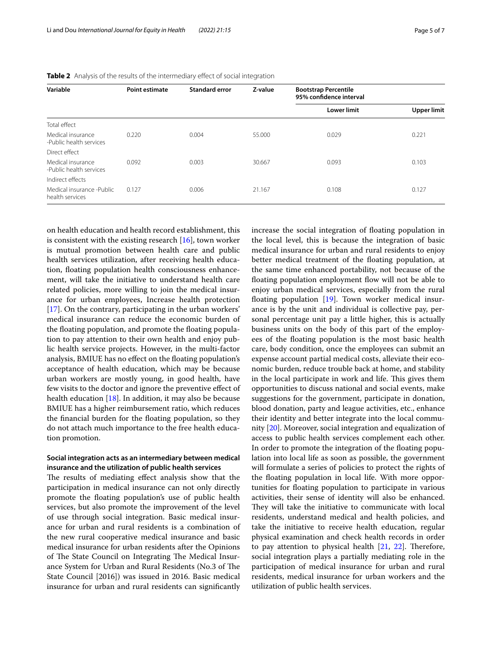| Variable                                     | <b>Point estimate</b> | <b>Standard error</b> | Z-value | <b>Bootstrap Percentile</b><br>95% confidence interval |                    |  |
|----------------------------------------------|-----------------------|-----------------------|---------|--------------------------------------------------------|--------------------|--|
|                                              |                       |                       |         | <b>Lower limit</b>                                     | <b>Upper limit</b> |  |
| Total effect                                 |                       |                       |         |                                                        |                    |  |
| Medical insurance<br>-Public health services | 0.220                 | 0.004                 | 55,000  | 0.029                                                  | 0.221              |  |
| Direct effect                                |                       |                       |         |                                                        |                    |  |
| Medical insurance<br>-Public health services | 0.092                 | 0.003                 | 30.667  | 0.093                                                  | 0.103              |  |
| Indirect effects                             |                       |                       |         |                                                        |                    |  |
| Medical insurance -Public<br>health services | 0.127                 | 0.006                 | 21.167  | 0.108                                                  | 0.127              |  |
|                                              |                       |                       |         |                                                        |                    |  |

<span id="page-4-0"></span>**Table 2** Analysis of the results of the intermediary effect of social integration

on health education and health record establishment, this is consistent with the existing research  $[16]$  $[16]$  $[16]$ , town worker is mutual promotion between health care and public health services utilization, after receiving health education, foating population health consciousness enhancement, will take the initiative to understand health care related policies, more willing to join the medical insurance for urban employees, Increase health protection [[17\]](#page-5-15). On the contrary, participating in the urban workers' medical insurance can reduce the economic burden of the foating population, and promote the foating population to pay attention to their own health and enjoy public health service projects. However, in the multi-factor analysis, BMIUE has no efect on the foating population's acceptance of health education, which may be because urban workers are mostly young, in good health, have few visits to the doctor and ignore the preventive efect of health education [\[18\]](#page-5-16). In addition, it may also be because BMIUE has a higher reimbursement ratio, which reduces the fnancial burden for the foating population, so they do not attach much importance to the free health education promotion.

# **Social integration acts as an intermediary between medical insurance and the utilization of public health services**

The results of mediating effect analysis show that the participation in medical insurance can not only directly promote the foating population's use of public health services, but also promote the improvement of the level of use through social integration. Basic medical insurance for urban and rural residents is a combination of the new rural cooperative medical insurance and basic medical insurance for urban residents after the Opinions of The State Council on Integrating The Medical Insurance System for Urban and Rural Residents (No.3 of The State Council [2016]) was issued in 2016. Basic medical insurance for urban and rural residents can signifcantly increase the social integration of foating population in the local level, this is because the integration of basic medical insurance for urban and rural residents to enjoy better medical treatment of the foating population, at the same time enhanced portability, not because of the floating population employment flow will not be able to enjoy urban medical services, especially from the rural floating population [[19\]](#page-5-17). Town worker medical insurance is by the unit and individual is collective pay, personal percentage unit pay a little higher, this is actually business units on the body of this part of the employees of the foating population is the most basic health care, body condition, once the employees can submit an expense account partial medical costs, alleviate their economic burden, reduce trouble back at home, and stability in the local participate in work and life. This gives them opportunities to discuss national and social events, make suggestions for the government, participate in donation, blood donation, party and league activities, etc., enhance their identity and better integrate into the local community [[20\]](#page-6-0). Moreover, social integration and equalization of access to public health services complement each other. In order to promote the integration of the foating population into local life as soon as possible, the government will formulate a series of policies to protect the rights of the foating population in local life. With more opportunities for foating population to participate in various activities, their sense of identity will also be enhanced. They will take the initiative to communicate with local residents, understand medical and health policies, and take the initiative to receive health education, regular physical examination and check health records in order to pay attention to physical health  $[21, 22]$  $[21, 22]$  $[21, 22]$  $[21, 22]$ . Therefore, social integration plays a partially mediating role in the participation of medical insurance for urban and rural residents, medical insurance for urban workers and the utilization of public health services.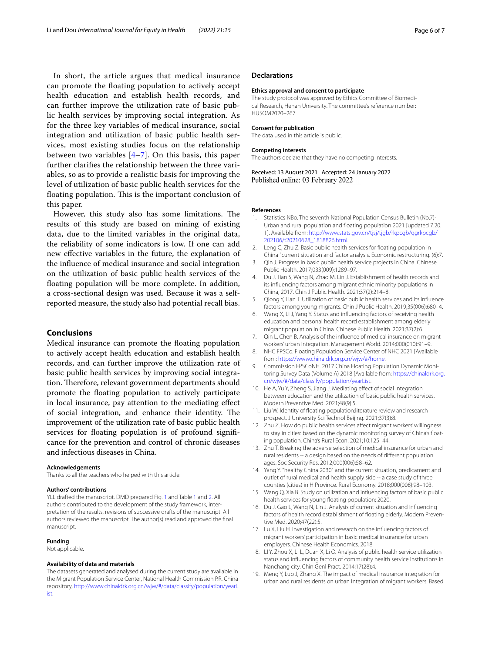In short, the article argues that medical insurance can promote the foating population to actively accept health education and establish health records, and can further improve the utilization rate of basic public health services by improving social integration. As for the three key variables of medical insurance, social integration and utilization of basic public health services, most existing studies focus on the relationship between two variables  $[4-7]$  $[4-7]$  $[4-7]$ . On this basis, this paper further clarifes the relationship between the three variables, so as to provide a realistic basis for improving the level of utilization of basic public health services for the floating population. This is the important conclusion of this paper.

However, this study also has some limitations. The results of this study are based on mining of existing data, due to the limited variables in the original data, the reliability of some indicators is low. If one can add new efective variables in the future, the explanation of the infuence of medical insurance and social integration on the utilization of basic public health services of the foating population will be more complete. In addition, a cross-sectional design was used. Because it was a selfreported measure, the study also had potential recall bias.

### **Conclusions**

Medical insurance can promote the foating population to actively accept health education and establish health records, and can further improve the utilization rate of basic public health services by improving social integration. Therefore, relevant government departments should promote the foating population to actively participate in local insurance, pay attention to the mediating efect of social integration, and enhance their identity. The improvement of the utilization rate of basic public health services for floating population is of profound significance for the prevention and control of chronic diseases and infectious diseases in China.

#### **Acknowledgements**

Thanks to all the teachers who helped with this article.

#### **Authors' contributions**

YLL drafted the manuscript. DMD prepared Fig. [1](#page-3-1) and Table [1](#page-3-0) and [2](#page-4-0). All authors contributed to the development of the study framework, interpretation of the results, revisions of successive drafts of the manuscript. All authors reviewed the manuscript. The author(s) read and approved the fnal manuscript.

### **Funding**

Not applicable.

#### **Availability of data and materials**

The datasets generated and analysed during the current study are available in the Migrant Population Service Center, National Health Commission P.R. China repository, [http://www.chinaldrk.org.cn/wjw/#/data/classify/population/yearL](http://www.chinaldrk.org.cn/wjw/#/data/classify/population/yearList) [ist](http://www.chinaldrk.org.cn/wjw/#/data/classify/population/yearList).

### **Declarations**

#### **Ethics approval and consent to participate**

The study protocol was approved by Ethics Committee of Biomedical Research, Henan University. The committee's reference number: HUSOM2020–267.

#### **Consent for publication**

The data used in this article is public.

#### **Competing interests**

The authors declare that they have no competing interests.

Received: 13 August 2021 Accepted: 24 January 2022 Published online: 03 February 2022

#### **References**

- <span id="page-5-0"></span>1. Statistics NBo. The seventh National Population Census Bulletin (No.7)- Urban and rural population and foating population 2021 [updated 7.20. 1]. Available from: [http://www.stats.gov.cn/tjsj/tjgb/rkpcgb/qgrkpcgb/](http://www.stats.gov.cn/tjsj/tjgb/rkpcgb/qgrkpcgb/202106/t20210628_1818826.html) [202106/t20210628\\_1818826.html.](http://www.stats.gov.cn/tjsj/tjgb/rkpcgb/qgrkpcgb/202106/t20210628_1818826.html)
- <span id="page-5-1"></span>2. Leng C, Zhu Z. Basic public health services for floating population in China ' current situation and factor analysis. Economic restructuring. (6):7.
- <span id="page-5-2"></span>3. Qin J. Progress in basic public health service projects in China. Chinese Public Health. 2017;033(009):1289–97.
- <span id="page-5-3"></span>4. Du J, Tian S, Wang N, Zhao M, Lin J. Establishment of health records and its infuencing factors among migrant ethnic minority populations in China, 2017. Chin J Public Health. 2021;37(2):214–8.
- 5. Qiong Y, Lian T. Utilization of basic public health services and its infuence factors among young migrants. Chin J Public Health. 2019;35(006):680–4.
- <span id="page-5-4"></span>6. Wang X, LI J, Yang Y. Status and infuencing factors of receiving health education and personal health record establishment among elderly migrant population in China. Chinese Public Health. 2021;37(2):6.
- <span id="page-5-5"></span>7. Qin L, Chen B. Analysis of the infuence of medical insurance on migrant workers' urban integration. Management World. 2014;000(010):91–9.
- <span id="page-5-6"></span>8. NHC FPSCo. Floating Population Service Center of NHC 2021 [Available from: [https://www.chinaldrk.org.cn/wjw/#/home.](https://www.chinaldrk.org.cn/wjw/#/home)
- <span id="page-5-7"></span>9. Commission FPSCoNH. 2017 China Floating Population Dynamic Monitoring Survey Data (Volume A) 2018 [Available from: [https://chinaldrk.org.](https://chinaldrk.org.cn/wjw/#/data/classify/population/yearList) [cn/wjw/#/data/classify/population/yearList](https://chinaldrk.org.cn/wjw/#/data/classify/population/yearList).
- <span id="page-5-8"></span>10. He A, Yu Y, Zheng S, Jiang J. Mediating effect of social integration between education and the utilization of basic public health services. Modern Preventive Med. 2021;48(9):5.
- <span id="page-5-9"></span>11. Liu W. Identity of foating population:literature review and research prospect. J University Sci Technol Beijing. 2021;37(3):8.
- <span id="page-5-10"></span>12. Zhu Z. How do public health services afect migrant workers' willingness to stay in cities: based on the dynamic monitoring survey of China's foating population. China's Rural Econ. 2021;10:125–44.
- <span id="page-5-11"></span>13. Zhu T. Breaking the adverse selection of medical insurance for urban and rural residents -- a design based on the needs of diferent population ages. Soc Security Res. 2012;000(006):58–62.
- <span id="page-5-12"></span>14. Yang Y. "healthy China 2030" and the current situation, predicament and outlet of rural medical and health supply side -- a case study of three counties (cities) in H Province. Rural Economy. 2018;000(008):98–103.
- <span id="page-5-13"></span>15. Wang Q, Xia B. Study on utilization and infuencing factors of basic public health services for young floating population; 2020.
- <span id="page-5-14"></span>16. Du J, Gao L, Wang N, Lin J. Analysis of current situation and infuencing factors of health record establishment of foating elderly. Modern Preventive Med. 2020;47(22):5.
- <span id="page-5-15"></span>17. Lu X, Liu H. lnvestigation and research on the infuencing factors of migrant workers' participation in basic medicaI insurance for urban employers. Chinese Health Economics. 2018.
- <span id="page-5-16"></span>18. LI Y, Zhou X, Li L, Duan X, Li Q. Analysis of public health service utilization status and infuencing factors of community health service institutions in Nanchang city. Chin Genl Pract. 2014;17(28):4.
- <span id="page-5-17"></span>19. Meng Y, Luo J, Zhang X. The impact of medical insurance integration for urban and rural residents on urban Integration of migrant workers: Based